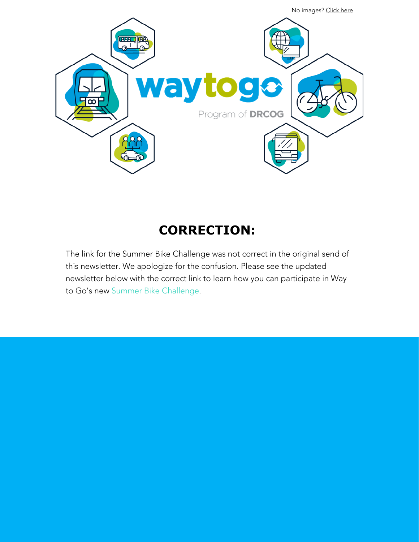

# **CORRECTION:**

The link for the Summer Bike Challenge was not correct in the original send of this newsletter. We apologize for the confusion. Please see the updated newsletter below with the correct link to learn how you can participate in Way to Go's new [Summer Bike Challenge](https://drcog.createsend1.com/t/d-l-mhkjkkt-l-r/).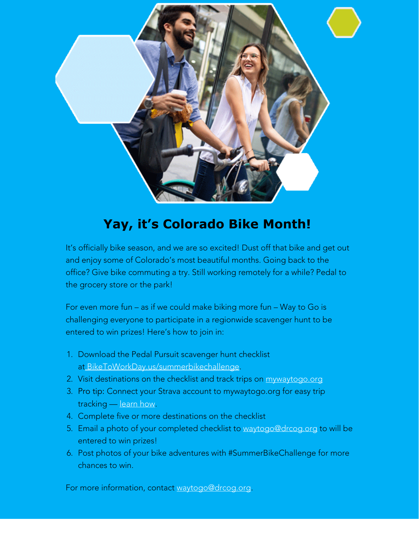

# **Yay, it's Colorado Bike Month!**

It's officially bike season, and we are so excited! Dust off that bike and get out and enjoy some of Colorado's most beautiful months. Going back to the office? Give bike commuting a try. Still working remotely for a while? Pedal to the grocery store or the park!

For even more fun – as if we could make biking more fun – Way to Go is challenging everyone to participate in a regionwide scavenger hunt to be entered to win prizes! Here's how to join in:

- 1. Download the Pedal Pursuit scavenger hunt checklist a[t](https://drcog.createsend1.com/t/d-l-mhkjkkt-l-y/) [BikeToWorkDay.us](https://drcog.createsend1.com/t/d-l-mhkjkkt-l-j/)[/summerbikechallenge.](https://drcog.createsend1.com/t/d-l-mhkjkkt-l-t/)
- 2. Visit destinations on the checklist and track trips on [mywaytogo.org](https://drcog.createsend1.com/t/d-l-mhkjkkt-l-i/)
- 3. Pro tip: Connect your Strava account to mywaytogo.org for easy trip tracking — [learn how.](https://drcog.createsend1.com/t/d-l-mhkjkkt-l-d/)
- 4. Complete five or more destinations on the checklist
- 5. Email a photo of your completed checklist to [waytogo@drcog.org](mailto:waytogo@drcog.org) to will be entered to win prizes!
- 6. Post photos of your bike adventures with #SummerBikeChallenge for more chances to win.

For more information, contact [waytogo@drcog.org](mailto:waytogo@drcog.org).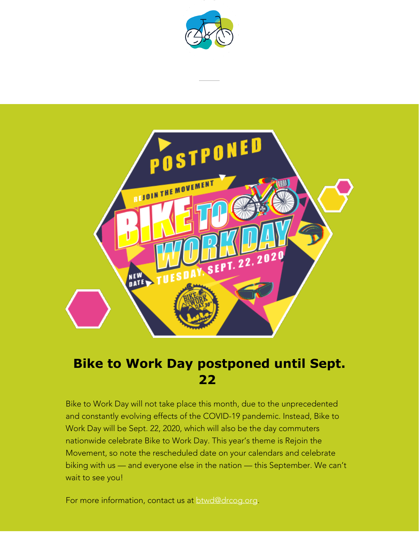



#### **Bike to Work Day postponed until Sept. 22**

Bike to Work Day will not take place this month, due to the unprecedented and constantly evolving effects of the COVID-19 pandemic. Instead, Bike to Work Day will be Sept. 22, 2020, which will also be the day commuters nationwide celebrate Bike to Work Day. This year's theme is Rejoin the Movement, so note the rescheduled date on your calendars and celebrate biking with us — and everyone else in the nation — this September. We can't wait to see you!

For more information, contact us at **[btwd@drcog.org](mailto:btwd@drcog.org)**.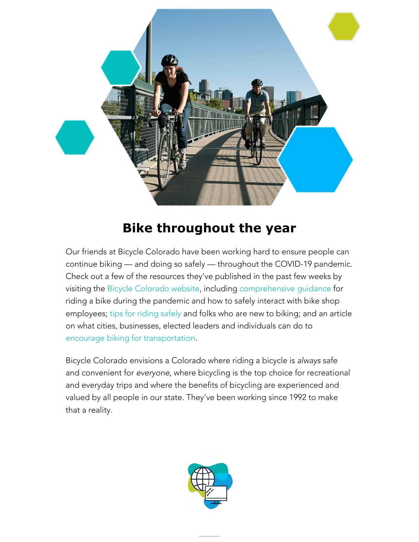

#### **Bike throughout the year**

Our friends at Bicycle Colorado have been working hard to ensure people can continue biking — and doing so safely — throughout the COVID-19 pandemic. Check out a few of the resources they've published in the past few weeks by visiting the [Bicycle Colorado website](https://drcog.createsend1.com/t/d-l-mhkjkkt-l-h/), including [comprehensive guidance](https://drcog.createsend1.com/t/d-l-mhkjkkt-l-k/) for riding a bike during the pandemic and how to safely interact with bike shop employees; [tips for riding safely](https://drcog.createsend1.com/t/d-l-mhkjkkt-l-u/) and folks who are new to biking; and an article on what cities, businesses, elected leaders and individuals can do to [encourage biking for transportation](https://drcog.createsend1.com/t/d-l-mhkjkkt-l-x/).

Bicycle Colorado envisions a Colorado where riding a bicycle is *always* safe and convenient for *everyone*, where bicycling is the top choice for recreational and everyday trips and where the benefits of bicycling are experienced and valued by all people in our state. They've been working since 1992 to make that a reality.

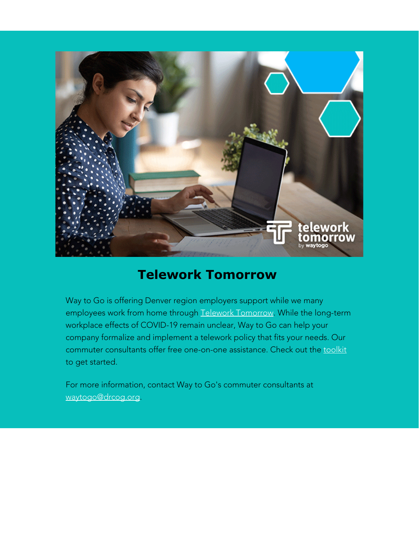

#### **Telework Tomorrow**

Way to Go is offering Denver region employers support while we many employees work from home through [Telework Tomorrow.](https://drcog.createsend1.com/t/d-l-mhkjkkt-l-m/) While the long-term workplace effects of COVID-19 remain unclear, Way to Go can help your company formalize and implement a telework policy that fits your needs. Our commuter consultants offer free one-on-one assistance. Check out the [toolkit](https://drcog.createsend1.com/t/d-l-mhkjkkt-l-c/) to get started.

For more information, contact Way to Go's commuter consultants at [waytogo@drcog.org](mailto:waytogo@drcog.org).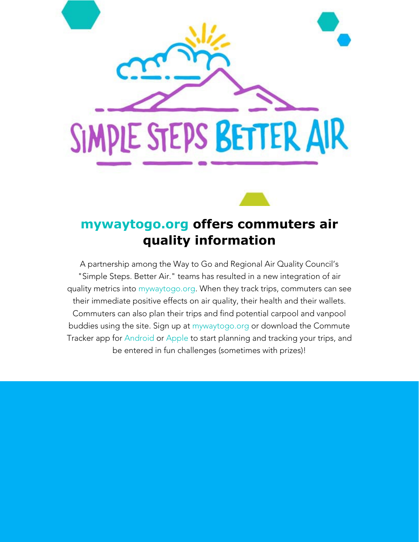

#### **[mywaytogo.org](https://drcog.createsend1.com/t/d-l-mhkjkkt-l-q/) offers commuters air quality information**

A partnership among the Way to Go and Regional Air Quality Council's "Simple Steps. Better Air." teams has resulted in a new integration of air quality metrics into [mywaytogo](https://drcog.createsend1.com/t/d-l-mhkjkkt-l-a/)[.org](https://drcog.createsend1.com/t/d-l-mhkjkkt-l-f/). When they track trips, commuters can see their immediate positive effects on air quality, their health and their wallets. Commuters can also plan their trips and find potential carpool and vanpool buddies using the site. Sign up at [mywaytogo](https://drcog.createsend1.com/t/d-l-mhkjkkt-l-z/)[.org](https://drcog.createsend1.com/t/d-l-mhkjkkt-l-v/) or download the Commute Tracker app for [Android](https://drcog.createsend1.com/t/d-l-mhkjkkt-l-e/) or [Apple](https://drcog.createsend1.com/t/d-l-mhkjkkt-l-s/) to start planning and tracking your trips, and be entered in fun challenges (sometimes with prizes)!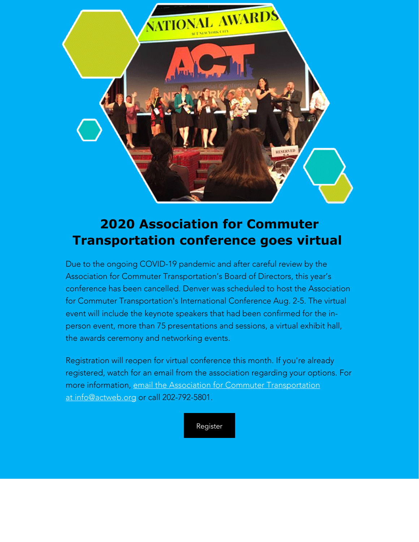

#### **2020 Association for Commuter Transportation conference goes virtual**

Due to the ongoing COVID-19 pandemic and after careful review by the Association for Commuter Transportation's Board of Directors, this year's conference has been cancelled. Denver was scheduled to host the Association for Commuter Transportation's International Conference Aug. 2-5. The virtual event will include the keynote speakers that had been confirmed for the inperson event, more than 75 presentations and sessions, a virtual exhibit hall, the awards ceremony and networking events.

Registration will reopen for virtual conference this month. If you're already registered, watch for an email from the association regarding your options. For more information, [email the Association for Commuter Transportation](mailto:info@actweb.org) [at](mailto:info@actweb.org) [info@actweb.org](mailto:info@actweb.org) or call 202-792-5801.

[Register](https://drcog.createsend1.com/t/d-l-mhkjkkt-l-g/)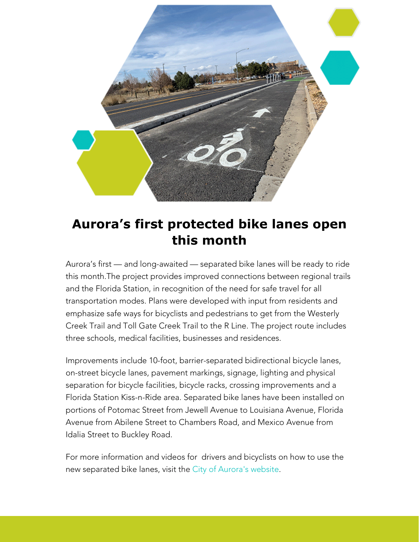

#### **Aurora's first protected bike lanes open this month**

Aurora's first — and long-awaited — separated bike lanes will be ready to ride this month.The project provides improved connections between regional trails and the Florida Station, in recognition of the need for safe travel for all transportation modes. Plans were developed with input from residents and emphasize safe ways for bicyclists and pedestrians to get from the Westerly Creek Trail and Toll Gate Creek Trail to the R Line. The project route includes three schools, medical facilities, businesses and residences.

Improvements include 10-foot, barrier-separated bidirectional bicycle lanes, on-street bicycle lanes, pavement markings, signage, lighting and physical separation for bicycle facilities, bicycle racks, crossing improvements and a Florida Station Kiss-n-Ride area. Separated bike lanes have been installed on portions of Potomac Street from Jewell Avenue to Louisiana Avenue, Florida Avenue from Abilene Street to Chambers Road, and Mexico Avenue from Idalia Street to Buckley Road.

For more information and videos for drivers and bicyclists on how to use the new separated bike lanes, visit th[e City of Aurora's website](https://drcog.createsend1.com/t/d-l-mhkjkkt-l-w/).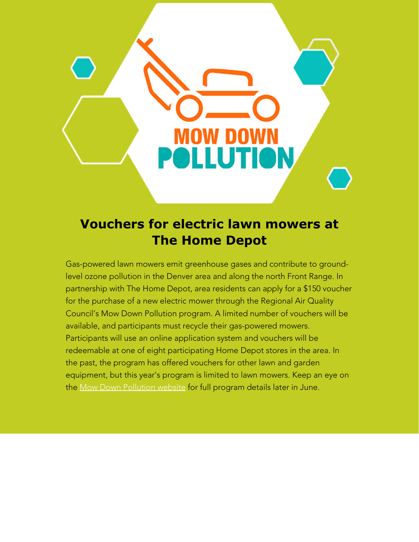

# **Vouchers for electric lawn mowers at The Home Depot**

Gas-powered lawn mowers emit greenhouse gases and contribute to groundlevel ozone pollution in the Denver area and along the north Front Range. In partnership with The Home Depot, area residents can apply for a \$150 voucher for the purchase of a new electric mower through the Regional Air Quality Council's Mow Down Pollution program. A limited number of vouchers will be available, and participants must recycle their gas-powered mowers. Participants will use an online application system and vouchers will be redeemable at one of eight participating Home Depot stores in the area. In the past, the program has offered vouchers for other lawn and garden equipment, but this year's program is limited to lawn mowers. Keep an eye on the [Mow Down Pollution website](https://drcog.createsend1.com/t/d-l-mhkjkkt-l-yd/) for full program details later in June.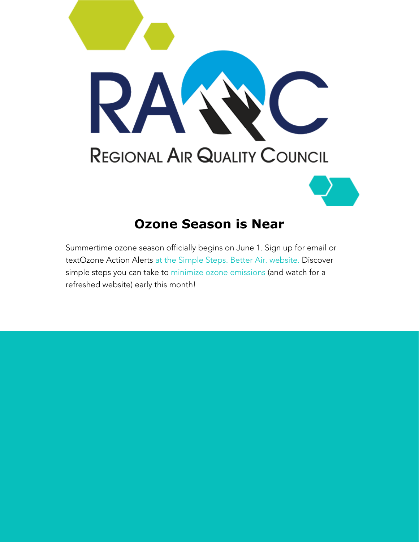

#### **Ozone Season is Near**

Summertime ozone season officially begins on June 1. Sign up for email or textOzone Action Alerts [at the Simple Steps. Better Air. website.](https://drcog.createsend1.com/t/d-l-mhkjkkt-l-yh/) Discover simple steps you can take to [minimize ozone emissions](https://drcog.createsend1.com/t/d-l-mhkjkkt-l-yk/) (and watch for a refreshed website) early this month!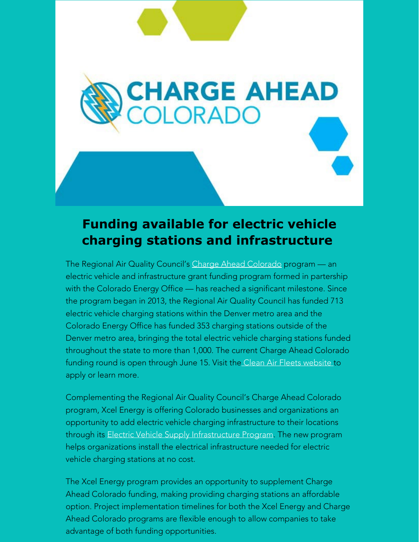# **Funding available for electric vehicle charging stations and infrastructure**

CHARGE AHEAD<br>COLORADO

The Regional Air Quality Council's [Charge Ahead Colorado](https://drcog.createsend1.com/t/d-l-mhkjkkt-l-yu/) program — an electric vehicle and infrastructure grant funding program formed in partership with the Colorado Energy Office — has reached a significant milestone. Since the program began in 2013, the Regional Air Quality Council has funded 713 electric vehicle charging stations within the Denver metro area and the Colorado Energy Office has funded 353 charging stations outside of the Denver metro area, bringing the total electric vehicle charging stations funded throughout the state to more than 1,000. The current Charge Ahead Colorado funding round is open through June 15. Visit the [Clean Air Fleets website](https://drcog.createsend1.com/t/d-l-mhkjkkt-l-jl/) to apply or learn more.

Complementing the Regional Air Quality Council's Charge Ahead Colorado program, Xcel Energy is offering Colorado businesses and organizations an opportunity to add electric vehicle charging infrastructure to their locations through its [Electric Vehicle Supply Infrastructure Program](https://drcog.createsend1.com/t/d-l-mhkjkkt-l-jr/). The new program helps organizations install the electrical infrastructure needed for electric vehicle charging stations at no cost.

The Xcel Energy program provides an opportunity to supplement Charge Ahead Colorado funding, making providing charging stations an affordable option. Project implementation timelines for both the Xcel Energy and Charge Ahead Colorado programs are flexible enough to allow companies to take advantage of both funding opportunities.